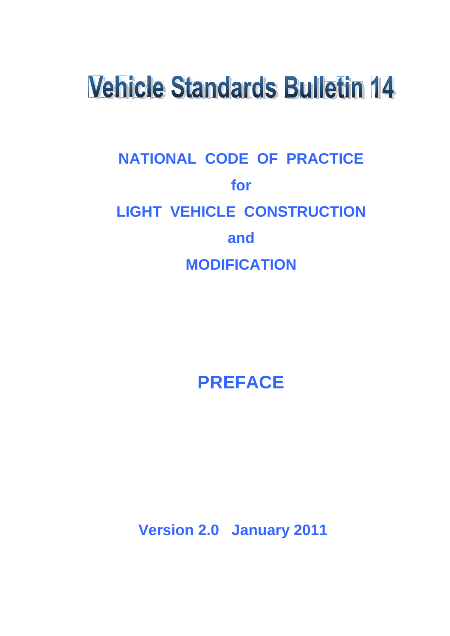# **Vehicle Standards Bulletin 14**

## **NATIONAL CODE OF PRACTICE for LIGHT VEHICLE CONSTRUCTION and MODIFICATION**

**PREFACE**

**Version 2.0 January 2011**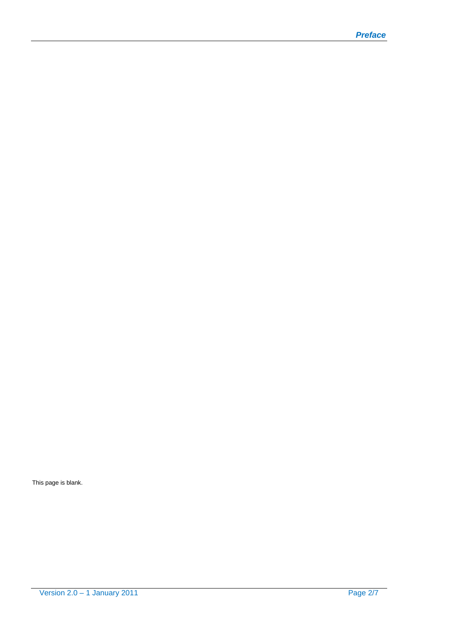This page is blank.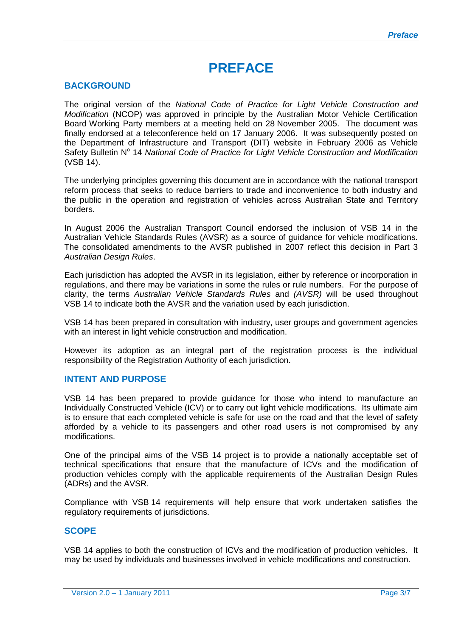### **PREFACE**

#### **BACKGROUND**

The original version of the *National Code of Practice for Light Vehicle Construction and Modification* (NCOP) was approved in principle by the Australian Motor Vehicle Certification Board Working Party members at a meeting held on 28 November 2005. The document was finally endorsed at a teleconference held on 17 January 2006. It was subsequently posted on the Department of Infrastructure and Transport (DIT) website in February 2006 as Vehicle Safety Bulletin Nº 14 National Code of Practice for Light Vehicle Construction and Modification (VSB 14).

The underlying principles governing this document are in accordance with the national transport reform process that seeks to reduce barriers to trade and inconvenience to both industry and the public in the operation and registration of vehicles across Australian State and Territory borders.

In August 2006 the Australian Transport Council endorsed the inclusion of VSB 14 in the Australian Vehicle Standards Rules (AVSR) as a source of guidance for vehicle modifications. The consolidated amendments to the AVSR published in 2007 reflect this decision in Part 3 *Australian Design Rules*.

Each jurisdiction has adopted the AVSR in its legislation, either by reference or incorporation in regulations, and there may be variations in some the rules or rule numbers. For the purpose of clarity, the terms *Australian Vehicle Standards Rules* and *(AVSR)* will be used throughout VSB 14 to indicate both the AVSR and the variation used by each jurisdiction.

VSB 14 has been prepared in consultation with industry, user groups and government agencies with an interest in light vehicle construction and modification.

However its adoption as an integral part of the registration process is the individual responsibility of the Registration Authority of each jurisdiction.

#### **INTENT AND PURPOSE**

VSB 14 has been prepared to provide guidance for those who intend to manufacture an Individually Constructed Vehicle (ICV) or to carry out light vehicle modifications. Its ultimate aim is to ensure that each completed vehicle is safe for use on the road and that the level of safety afforded by a vehicle to its passengers and other road users is not compromised by any modifications.

One of the principal aims of the VSB 14 project is to provide a nationally acceptable set of technical specifications that ensure that the manufacture of ICVs and the modification of production vehicles comply with the applicable requirements of the Australian Design Rules (ADRs) and the AVSR.

Compliance with VSB 14 requirements will help ensure that work undertaken satisfies the regulatory requirements of jurisdictions.

#### **SCOPE**

VSB 14 applies to both the construction of ICVs and the modification of production vehicles. It may be used by individuals and businesses involved in vehicle modifications and construction.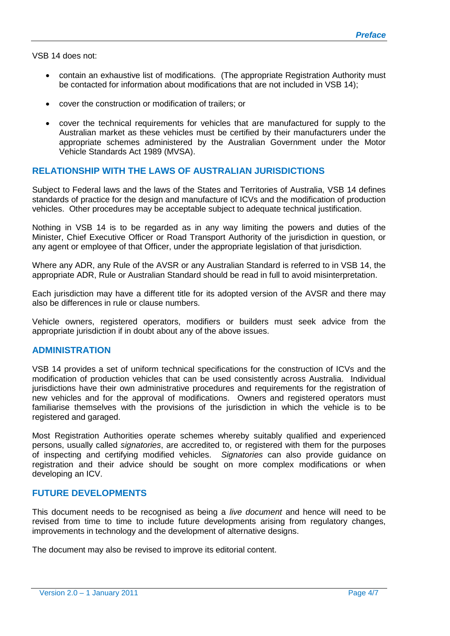VSB 14 does not:

- contain an exhaustive list of modifications. (The appropriate Registration Authority must be contacted for information about modifications that are not included in VSB 14);
- cover the construction or modification of trailers; or
- cover the technical requirements for vehicles that are manufactured for supply to the Australian market as these vehicles must be certified by their manufacturers under the appropriate schemes administered by the Australian Government under the Motor Vehicle Standards Act 1989 (MVSA).

#### **RELATIONSHIP WITH THE LAWS OF AUSTRALIAN JURISDICTIONS**

Subject to Federal laws and the laws of the States and Territories of Australia, VSB 14 defines standards of practice for the design and manufacture of ICVs and the modification of production vehicles. Other procedures may be acceptable subject to adequate technical justification.

Nothing in VSB 14 is to be regarded as in any way limiting the powers and duties of the Minister, Chief Executive Officer or Road Transport Authority of the jurisdiction in question, or any agent or employee of that Officer, under the appropriate legislation of that jurisdiction.

Where any ADR, any Rule of the AVSR or any Australian Standard is referred to in VSB 14, the appropriate ADR, Rule or Australian Standard should be read in full to avoid misinterpretation.

Each jurisdiction may have a different title for its adopted version of the AVSR and there may also be differences in rule or clause numbers.

Vehicle owners, registered operators, modifiers or builders must seek advice from the appropriate jurisdiction if in doubt about any of the above issues.

#### **ADMINISTRATION**

VSB 14 provides a set of uniform technical specifications for the construction of ICVs and the modification of production vehicles that can be used consistently across Australia. Individual jurisdictions have their own administrative procedures and requirements for the registration of new vehicles and for the approval of modifications. Owners and registered operators must familiarise themselves with the provisions of the jurisdiction in which the vehicle is to be registered and garaged.

Most Registration Authorities operate schemes whereby suitably qualified and experienced persons, usually called *signatories*, are accredited to, or registered with them for the purposes of inspecting and certifying modified vehicles. *Signatories* can also provide guidance on registration and their advice should be sought on more complex modifications or when developing an ICV.

#### **FUTURE DEVELOPMENTS**

This document needs to be recognised as being a *live document* and hence will need to be revised from time to time to include future developments arising from regulatory changes, improvements in technology and the development of alternative designs.

The document may also be revised to improve its editorial content.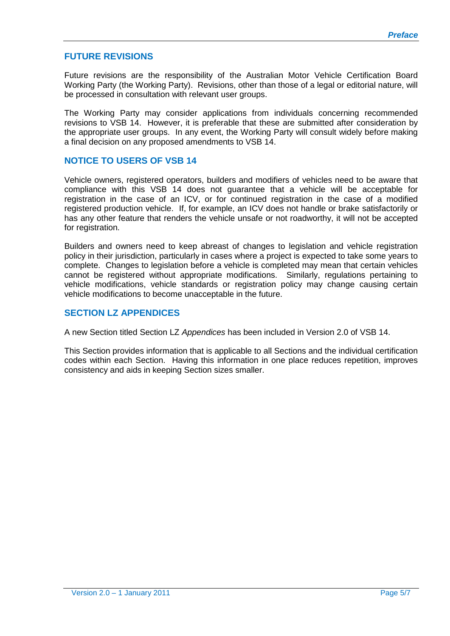#### **FUTURE REVISIONS**

Future revisions are the responsibility of the Australian Motor Vehicle Certification Board Working Party (the Working Party). Revisions, other than those of a legal or editorial nature, will be processed in consultation with relevant user groups.

The Working Party may consider applications from individuals concerning recommended revisions to VSB 14. However, it is preferable that these are submitted after consideration by the appropriate user groups. In any event, the Working Party will consult widely before making a final decision on any proposed amendments to VSB 14.

#### **NOTICE TO USERS OF VSB 14**

Vehicle owners, registered operators, builders and modifiers of vehicles need to be aware that compliance with this VSB 14 does not guarantee that a vehicle will be acceptable for registration in the case of an ICV, or for continued registration in the case of a modified registered production vehicle. If, for example, an ICV does not handle or brake satisfactorily or has any other feature that renders the vehicle unsafe or not roadworthy, it will not be accepted for registration.

Builders and owners need to keep abreast of changes to legislation and vehicle registration policy in their jurisdiction, particularly in cases where a project is expected to take some years to complete. Changes to legislation before a vehicle is completed may mean that certain vehicles cannot be registered without appropriate modifications. Similarly, regulations pertaining to vehicle modifications, vehicle standards or registration policy may change causing certain vehicle modifications to become unacceptable in the future.

#### **SECTION LZ APPENDICES**

A new Section titled Section LZ *Appendices* has been included in Version 2.0 of VSB 14.

This Section provides information that is applicable to all Sections and the individual certification codes within each Section. Having this information in one place reduces repetition, improves consistency and aids in keeping Section sizes smaller.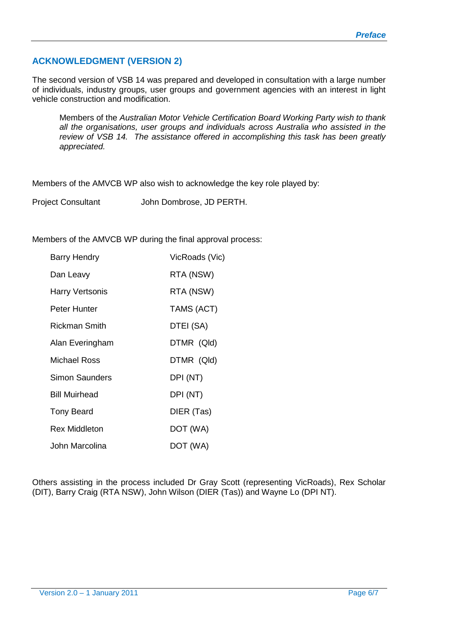#### **ACKNOWLEDGMENT (VERSION 2)**

The second version of VSB 14 was prepared and developed in consultation with a large number of individuals, industry groups, user groups and government agencies with an interest in light vehicle construction and modification.

Members of the *Australian Motor Vehicle Certification Board Working Party wish to thank all the organisations, user groups and individuals across Australia who assisted in the review of VSB 14. The assistance offered in accomplishing this task has been greatly appreciated.*

Members of the AMVCB WP also wish to acknowledge the key role played by:

| <b>Project Consultant</b> | John Dombrose, JD PERTH. |
|---------------------------|--------------------------|
|                           |                          |

Members of the AMVCB WP during the final approval process:

| <b>Barry Hendry</b>  | VicRoads (Vic) |
|----------------------|----------------|
| Dan Leavy            | RTA (NSW)      |
| Harry Vertsonis      | RTA (NSW)      |
| Peter Hunter         | TAMS (ACT)     |
| Rickman Smith        | DTEI (SA)      |
| Alan Everingham      | DTMR (QId)     |
| Michael Ross         | DTMR (QId)     |
| Simon Saunders       | DPI (NT)       |
| <b>Bill Muirhead</b> | DPI (NT)       |
| Tony Beard           | DIER (Tas)     |
| <b>Rex Middleton</b> | DOT (WA)       |
| John Marcolina       | DOT (WA)       |

Others assisting in the process included Dr Gray Scott (representing VicRoads), Rex Scholar (DIT), Barry Craig (RTA NSW), John Wilson (DIER (Tas)) and Wayne Lo (DPI NT).